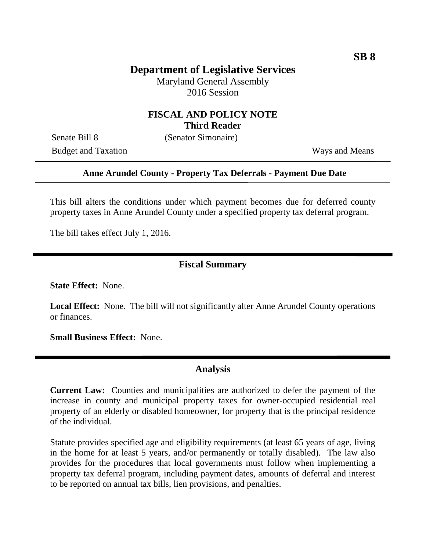# **Department of Legislative Services**

Maryland General Assembly 2016 Session

### **FISCAL AND POLICY NOTE Third Reader**

Senate Bill 8 (Senator Simonaire)

Budget and Taxation Ways and Means

#### **Anne Arundel County - Property Tax Deferrals - Payment Due Date**

This bill alters the conditions under which payment becomes due for deferred county property taxes in Anne Arundel County under a specified property tax deferral program.

The bill takes effect July 1, 2016.

#### **Fiscal Summary**

**State Effect:** None.

**Local Effect:** None. The bill will not significantly alter Anne Arundel County operations or finances.

**Small Business Effect:** None.

### **Analysis**

**Current Law:** Counties and municipalities are authorized to defer the payment of the increase in county and municipal property taxes for owner-occupied residential real property of an elderly or disabled homeowner, for property that is the principal residence of the individual.

Statute provides specified age and eligibility requirements (at least 65 years of age, living in the home for at least 5 years, and/or permanently or totally disabled). The law also provides for the procedures that local governments must follow when implementing a property tax deferral program, including payment dates, amounts of deferral and interest to be reported on annual tax bills, lien provisions, and penalties.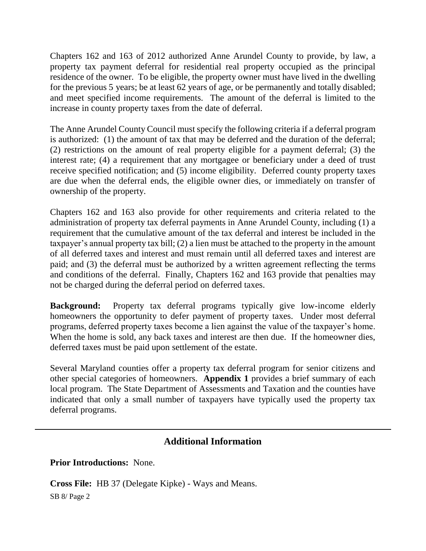Chapters 162 and 163 of 2012 authorized Anne Arundel County to provide, by law, a property tax payment deferral for residential real property occupied as the principal residence of the owner. To be eligible, the property owner must have lived in the dwelling for the previous 5 years; be at least 62 years of age, or be permanently and totally disabled; and meet specified income requirements. The amount of the deferral is limited to the increase in county property taxes from the date of deferral.

The Anne Arundel County Council must specify the following criteria if a deferral program is authorized: (1) the amount of tax that may be deferred and the duration of the deferral; (2) restrictions on the amount of real property eligible for a payment deferral; (3) the interest rate; (4) a requirement that any mortgagee or beneficiary under a deed of trust receive specified notification; and (5) income eligibility. Deferred county property taxes are due when the deferral ends, the eligible owner dies, or immediately on transfer of ownership of the property.

Chapters 162 and 163 also provide for other requirements and criteria related to the administration of property tax deferral payments in Anne Arundel County, including (1) a requirement that the cumulative amount of the tax deferral and interest be included in the taxpayer's annual property tax bill; (2) a lien must be attached to the property in the amount of all deferred taxes and interest and must remain until all deferred taxes and interest are paid; and (3) the deferral must be authorized by a written agreement reflecting the terms and conditions of the deferral. Finally, Chapters 162 and 163 provide that penalties may not be charged during the deferral period on deferred taxes.

**Background:** Property tax deferral programs typically give low-income elderly homeowners the opportunity to defer payment of property taxes. Under most deferral programs, deferred property taxes become a lien against the value of the taxpayer's home. When the home is sold, any back taxes and interest are then due. If the homeowner dies, deferred taxes must be paid upon settlement of the estate.

Several Maryland counties offer a property tax deferral program for senior citizens and other special categories of homeowners. **Appendix 1** provides a brief summary of each local program. The State Department of Assessments and Taxation and the counties have indicated that only a small number of taxpayers have typically used the property tax deferral programs.

# **Additional Information**

**Prior Introductions:** None.

**Cross File:** HB 37 (Delegate Kipke) - Ways and Means.

SB 8/ Page 2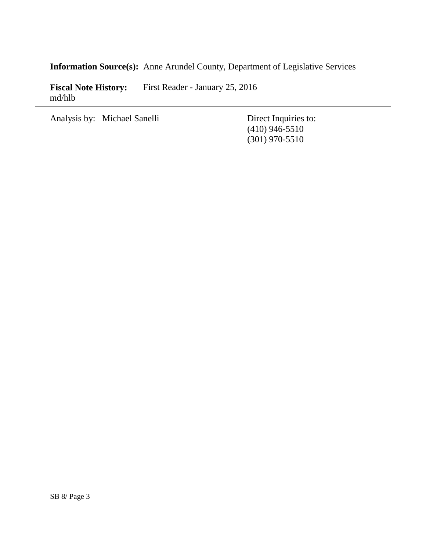**Information Source(s):** Anne Arundel County, Department of Legislative Services

**Fiscal Note History:** First Reader - January 25, 2016 md/hlb

Analysis by: Michael Sanelli Direct Inquiries to:

(410) 946-5510 (301) 970-5510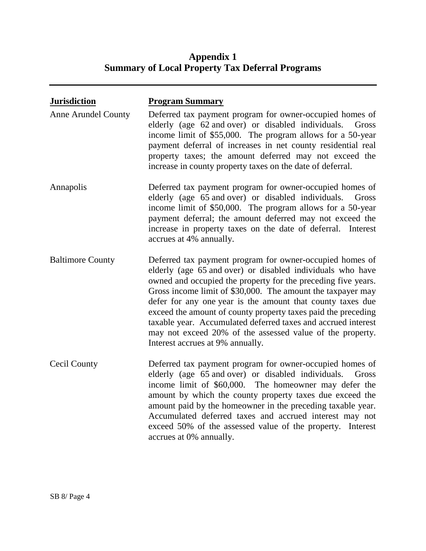# **Appendix 1 Summary of Local Property Tax Deferral Programs**

| <b>Jurisdiction</b>        | <b>Program Summary</b>                                                                                                                                                                                                                                                                                                                                                                                                                                                                                                                                  |
|----------------------------|---------------------------------------------------------------------------------------------------------------------------------------------------------------------------------------------------------------------------------------------------------------------------------------------------------------------------------------------------------------------------------------------------------------------------------------------------------------------------------------------------------------------------------------------------------|
| <b>Anne Arundel County</b> | Deferred tax payment program for owner-occupied homes of<br>elderly (age 62 and over) or disabled individuals. Gross<br>income limit of \$55,000. The program allows for a 50-year<br>payment deferral of increases in net county residential real<br>property taxes; the amount deferred may not exceed the<br>increase in county property taxes on the date of deferral.                                                                                                                                                                              |
| Annapolis                  | Deferred tax payment program for owner-occupied homes of<br>elderly (age 65 and over) or disabled individuals.<br>Gross<br>income limit of \$50,000. The program allows for a 50-year<br>payment deferral; the amount deferred may not exceed the<br>increase in property taxes on the date of deferral. Interest<br>accrues at 4% annually.                                                                                                                                                                                                            |
| <b>Baltimore County</b>    | Deferred tax payment program for owner-occupied homes of<br>elderly (age 65 and over) or disabled individuals who have<br>owned and occupied the property for the preceding five years.<br>Gross income limit of \$30,000. The amount the taxpayer may<br>defer for any one year is the amount that county taxes due<br>exceed the amount of county property taxes paid the preceding<br>taxable year. Accumulated deferred taxes and accrued interest<br>may not exceed 20% of the assessed value of the property.<br>Interest accrues at 9% annually. |
| Cecil County               | Deferred tax payment program for owner-occupied homes of<br>elderly (age 65 and over) or disabled individuals.<br>Gross<br>income limit of \$60,000. The homeowner may defer the<br>amount by which the county property taxes due exceed the<br>amount paid by the homeowner in the preceding taxable year.<br>Accumulated deferred taxes and accrued interest may not<br>exceed 50% of the assessed value of the property. Interest<br>accrues at 0% annually.                                                                                         |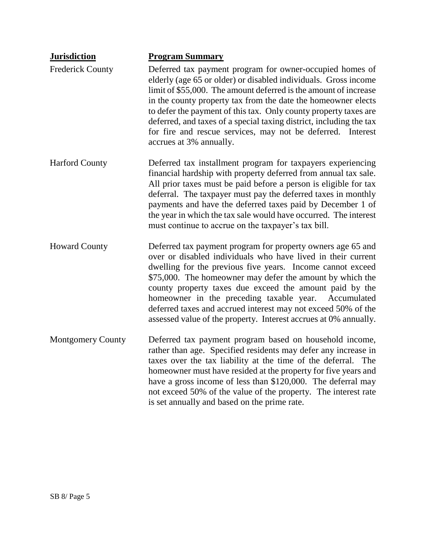| <b>Jurisdiction</b>      | <b>Program Summary</b>                                                                                                                                                                                                                                                                                                                                                                                                                                                                                            |
|--------------------------|-------------------------------------------------------------------------------------------------------------------------------------------------------------------------------------------------------------------------------------------------------------------------------------------------------------------------------------------------------------------------------------------------------------------------------------------------------------------------------------------------------------------|
| <b>Frederick County</b>  | Deferred tax payment program for owner-occupied homes of<br>elderly (age 65 or older) or disabled individuals. Gross income<br>limit of \$55,000. The amount deferred is the amount of increase<br>in the county property tax from the date the homeowner elects<br>to defer the payment of this tax. Only county property taxes are<br>deferred, and taxes of a special taxing district, including the tax<br>for fire and rescue services, may not be deferred. Interest<br>accrues at 3% annually.             |
| <b>Harford County</b>    | Deferred tax installment program for taxpayers experiencing<br>financial hardship with property deferred from annual tax sale.<br>All prior taxes must be paid before a person is eligible for tax<br>deferral. The taxpayer must pay the deferred taxes in monthly<br>payments and have the deferred taxes paid by December 1 of<br>the year in which the tax sale would have occurred. The interest<br>must continue to accrue on the taxpayer's tax bill.                                                      |
| <b>Howard County</b>     | Deferred tax payment program for property owners age 65 and<br>over or disabled individuals who have lived in their current<br>dwelling for the previous five years. Income cannot exceed<br>\$75,000. The homeowner may defer the amount by which the<br>county property taxes due exceed the amount paid by the<br>homeowner in the preceding taxable year.<br>Accumulated<br>deferred taxes and accrued interest may not exceed 50% of the<br>assessed value of the property. Interest accrues at 0% annually. |
| <b>Montgomery County</b> | Deferred tax payment program based on household income,<br>rather than age. Specified residents may defer any increase in<br>taxes over the tax liability at the time of the deferral. The<br>homeowner must have resided at the property for five years and<br>have a gross income of less than \$120,000. The deferral may<br>not exceed 50% of the value of the property. The interest rate<br>is set annually and based on the prime rate.                                                                    |